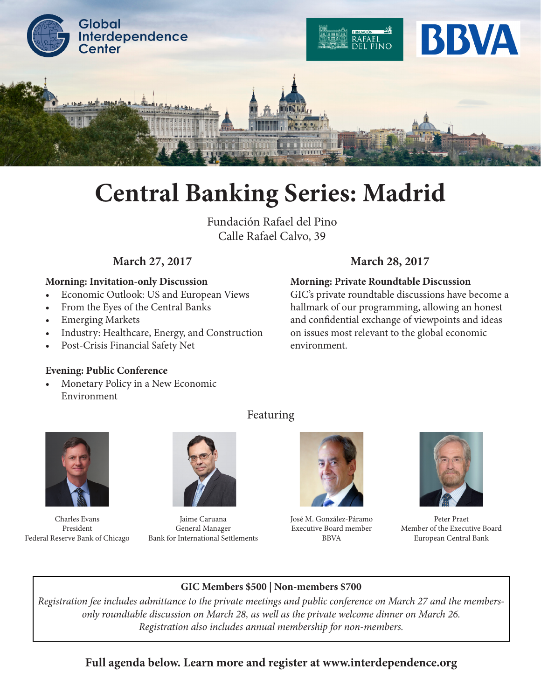

# **Central Banking Series: Madrid**

Fundación Rafael del Pino Calle Rafael Calvo, 39

## **Morning: Invitation-only Discussion**

- Economic Outlook: US and European Views
- From the Eyes of the Central Banks
- Emerging Markets
- Industry: Healthcare, Energy, and Construction
- Post-Crisis Financial Safety Net

## **Evening: Public Conference**

• Monetary Policy in a New Economic Environment



Charles Evans President Federal Reserve Bank of Chicago



Jaime Caruana General Manager Bank for International Settlements

José M. González-Páramo Executive Board member BBVA



Peter Praet Member of the Executive Board European Central Bank

## **GIC Members \$500 | Non-members \$700**

*Registration fee includes admittance to the private meetings and public conference on March 27 and the membersonly roundtable discussion on March 28, as well as the private welcome dinner on March 26. Registration also includes annual membership for non-members.* 

## **Full agenda below. Learn more and register at www.interdependence.org**

Featuring

# **March 27, 2017 March 28, 2017**

**Morning: Private Roundtable Discussion**

GIC's private roundtable discussions have become a hallmark of our programming, allowing an honest and confidential exchange of viewpoints and ideas on issues most relevant to the global economic environment.